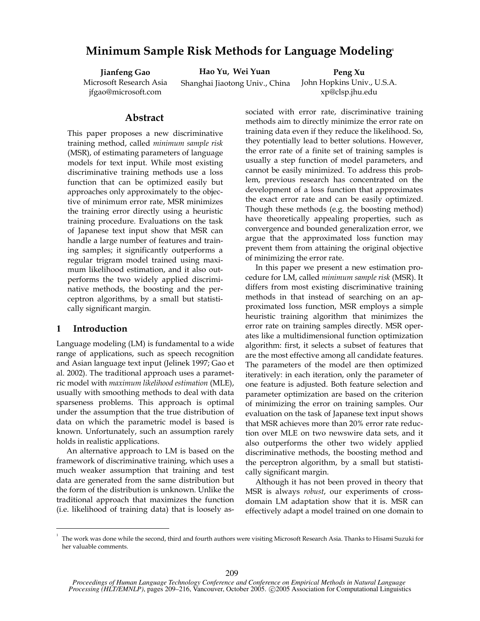# **Minimum Sample Risk Methods for Language Modeling1**

**Jianfeng Gao** Microsoft Research Asia jfgao@microsoft.com

**Hao Yu, Wei Yuan**

Shanghai Jiaotong Univ., China

**Peng Xu** John Hopkins Univ., U.S.A. xp@clsp.jhu.edu

## **Abstract**

This paper proposes a new discriminative training method, called *minimum sample risk* (MSR), of estimating parameters of language models for text input. While most existing discriminative training methods use a loss function that can be optimized easily but approaches only approximately to the objective of minimum error rate, MSR minimizes the training error directly using a heuristic training procedure. Evaluations on the task of Japanese text input show that MSR can handle a large number of features and training samples; it significantly outperforms a regular trigram model trained using maximum likelihood estimation, and it also outperforms the two widely applied discriminative methods, the boosting and the perceptron algorithms, by a small but statistically significant margin.

## **1 Introduction**

-

Language modeling (LM) is fundamental to a wide range of applications, such as speech recognition and Asian language text input (Jelinek 1997; Gao et al. 2002). The traditional approach uses a parametric model with *maximum likelihood estimation* (MLE), usually with smoothing methods to deal with data sparseness problems. This approach is optimal under the assumption that the true distribution of data on which the parametric model is based is known. Unfortunately, such an assumption rarely holds in realistic applications.

An alternative approach to LM is based on the framework of discriminative training, which uses a much weaker assumption that training and test data are generated from the same distribution but the form of the distribution is unknown. Unlike the traditional approach that maximizes the function (i.e. likelihood of training data) that is loosely associated with error rate, discriminative training methods aim to directly minimize the error rate on training data even if they reduce the likelihood. So, they potentially lead to better solutions. However, the error rate of a finite set of training samples is usually a step function of model parameters, and cannot be easily minimized. To address this problem, previous research has concentrated on the development of a loss function that approximates the exact error rate and can be easily optimized. Though these methods (e.g. the boosting method) have theoretically appealing properties, such as convergence and bounded generalization error, we argue that the approximated loss function may prevent them from attaining the original objective of minimizing the error rate.

In this paper we present a new estimation procedure for LM, called *minimum sample risk* (MSR). It differs from most existing discriminative training methods in that instead of searching on an approximated loss function, MSR employs a simple heuristic training algorithm that minimizes the error rate on training samples directly. MSR operates like a multidimensional function optimization algorithm: first, it selects a subset of features that are the most effective among all candidate features. The parameters of the model are then optimized iteratively: in each iteration, only the parameter of one feature is adjusted. Both feature selection and parameter optimization are based on the criterion of minimizing the error on training samples. Our evaluation on the task of Japanese text input shows that MSR achieves more than 20% error rate reduction over MLE on two newswire data sets, and it also outperforms the other two widely applied discriminative methods, the boosting method and the perceptron algorithm, by a small but statistically significant margin.

Although it has not been proved in theory that MSR is always *robust*, our experiments of crossdomain LM adaptation show that it is. MSR can effectively adapt a model trained on one domain to

<sup>1</sup> The work was done while the second, third and fourth authors were visiting Microsoft Research Asia. Thanks to Hisami Suzuki for her valuable comments.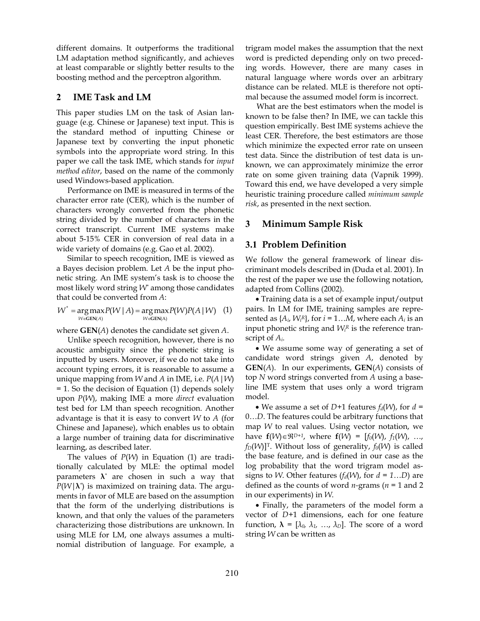different domains. It outperforms the traditional LM adaptation method significantly, and achieves at least comparable or slightly better results to the boosting method and the perceptron algorithm.

# **2 IME Task and LM**

This paper studies LM on the task of Asian language (e.g. Chinese or Japanese) text input. This is the standard method of inputting Chinese or Japanese text by converting the input phonetic symbols into the appropriate word string. In this paper we call the task IME, which stands for *input method editor*, based on the name of the commonly used Windows-based application.

Performance on IME is measured in terms of the character error rate (CER), which is the number of characters wrongly converted from the phonetic string divided by the number of characters in the correct transcript. Current IME systems make about 5-15% CER in conversion of real data in a wide variety of domains (e.g. Gao et al. 2002).

Similar to speech recognition, IME is viewed as a Bayes decision problem. Let *A* be the input phonetic string. An IME system's task is to choose the most likely word string *W\** among those candidates that could be converted from *A*:

$$
W^* = \underset{W \in \text{GEN}(A)}{\arg \max} P(W \mid A) = \underset{W \in \text{GEN}(A)}{\arg \max} P(W) P(A \mid W) \quad (1)
$$

where **GEN**(*A*) denotes the candidate set given *A*.

Unlike speech recognition, however, there is no acoustic ambiguity since the phonetic string is inputted by users. Moreover, if we do not take into account typing errors, it is reasonable to assume a unique mapping from *W* and *A* in IME, i.e. *P*(*A*|*W*) = 1. So the decision of Equation (1) depends solely upon *P*(*W*), making IME a more *direct* evaluation test bed for LM than speech recognition. Another advantage is that it is easy to convert *W* to *A* (for Chinese and Japanese), which enables us to obtain a large number of training data for discriminative learning, as described later.

The values of *P*(*W*) in Equation (1) are traditionally calculated by MLE: the optimal model parameters **λ***\** are chosen in such a way that *P*(*W*|**λ***\**) is maximized on training data. The arguments in favor of MLE are based on the assumption that the form of the underlying distributions is known, and that only the values of the parameters characterizing those distributions are unknown. In using MLE for LM, one always assumes a multinomial distribution of language. For example, a

trigram model makes the assumption that the next word is predicted depending only on two preceding words. However, there are many cases in natural language where words over an arbitrary distance can be related. MLE is therefore not optimal because the assumed model form is incorrect.

What are the best estimators when the model is known to be false then? In IME, we can tackle this question empirically. Best IME systems achieve the least CER. Therefore, the best estimators are those which minimize the expected error rate on unseen test data. Since the distribution of test data is unknown, we can approximately minimize the error rate on some given training data (Vapnik 1999). Toward this end, we have developed a very simple heuristic training procedure called *minimum sample risk*, as presented in the next section.

# **3 Minimum Sample Risk**

### **3.1 Problem Definition**

We follow the general framework of linear discriminant models described in (Duda et al. 2001). In the rest of the paper we use the following notation, adapted from Collins (2002).

• Training data is a set of example input/output pairs. In LM for IME, training samples are represented as  $\{A_i, W_i^R\}$ , for  $i = 1...M$ , where each  $A_i$  is an input phonetic string and  $W_i^R$  is the reference transcript of *Ai*.

• We assume some way of generating a set of candidate word strings given *A*, denoted by **GEN**(*A*). In our experiments, **GEN**(*A*) consists of top *N* word strings converted from *A* using a baseline IME system that uses only a word trigram model.

• We assume a set of *D*+1 features  $f_d(W)$ , for  $d =$ 0…*D*. The features could be arbitrary functions that map *W* to real values. Using vector notation, we have  $f(W) \in \mathbb{R}^{D+1}$ , where  $f(W) = [f_0(W), f_1(W), ..., f_N(W)]$  $f_D(W)$ <sup>T</sup>. Without loss of generality,  $f_0(W)$  is called the base feature, and is defined in our case as the log probability that the word trigram model assigns to *W*. Other features  $(f_d(W)$ , for  $d = 1...D$ ) are defined as the counts of word *n-*grams (*n* = 1 and 2 in our experiments) in *W*.

• Finally, the parameters of the model form a vector of *D*+1 dimensions, each for one feature function,  $\lambda = [\lambda_0, \lambda_1, ..., \lambda_D]$ . The score of a word string *W* can be written as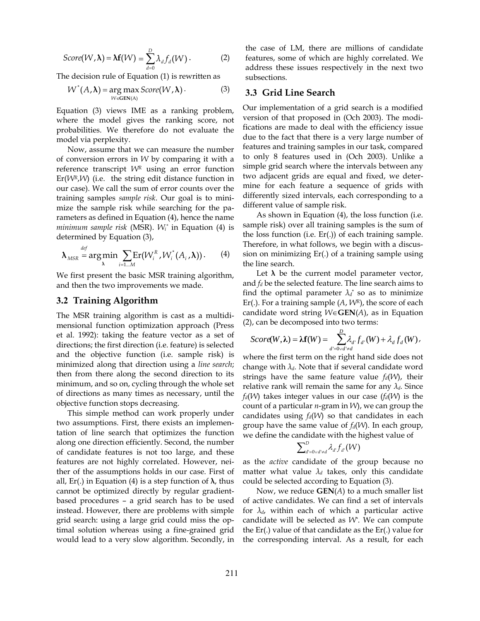$$
Score(W, \lambda) = \lambda f(W) = \sum_{d=0}^{D} \lambda_d f_d(W).
$$
 (2)

The decision rule of Equation (1) is rewritten as

$$
W^*(A, \lambda) = \underset{W \in \text{GEN}(A)}{\arg \max} Score(W, \lambda). \tag{3}
$$

Equation (3) views IME as a ranking problem, where the model gives the ranking score, not probabilities. We therefore do not evaluate the model via perplexity.

Now, assume that we can measure the number of conversion errors in *W* by comparing it with a reference transcript *WR* using an error function  $Er(WR, W)$  (i.e. the string edit distance function in our case). We call the sum of error counts over the training samples *sample risk*. Our goal is to minimize the sample risk while searching for the parameters as defined in Equation (4), hence the name *minimum sample risk* (MSR). *Wi \** in Equation (4) is determined by Equation (3),

$$
\boldsymbol{\lambda}_{MSR} \stackrel{def}{=} \arg \min_{\lambda} \sum_{i=1...M} \text{Er}(W_i^R, W_i^*(A_i, \lambda)). \tag{4}
$$

We first present the basic MSR training algorithm, and then the two improvements we made.

#### **3.2 Training Algorithm**

The MSR training algorithm is cast as a multidimensional function optimization approach (Press et al. 1992): taking the feature vector as a set of directions; the first direction (i.e. feature) is selected and the objective function (i.e. sample risk) is minimized along that direction using a *line search*; then from there along the second direction to its minimum, and so on, cycling through the whole set of directions as many times as necessary, until the objective function stops decreasing.

This simple method can work properly under two assumptions. First, there exists an implementation of line search that optimizes the function along one direction efficiently. Second, the number of candidate features is not too large, and these features are not highly correlated. However, neither of the assumptions holds in our case. First of all, Er(.) in Equation (4) is a step function of  $\lambda$ , thus cannot be optimized directly by regular gradientbased procedures – a grid search has to be used instead. However, there are problems with simple grid search: using a large grid could miss the optimal solution whereas using a fine-grained grid would lead to a very slow algorithm. Secondly, in

the case of LM, there are millions of candidate features, some of which are highly correlated. We address these issues respectively in the next two subsections.

#### **3.3 Grid Line Search**

Our implementation of a grid search is a modified version of that proposed in (Och 2003). The modifications are made to deal with the efficiency issue due to the fact that there is a very large number of features and training samples in our task, compared to only 8 features used in (Och 2003). Unlike a simple grid search where the intervals between any two adjacent grids are equal and fixed, we determine for each feature a sequence of grids with differently sized intervals, each corresponding to a different value of sample risk.

As shown in Equation (4), the loss function (i.e. sample risk) over all training samples is the sum of the loss function (i.e. Er(.)) of each training sample. Therefore, in what follows, we begin with a discussion on minimizing Er(.) of a training sample using the line search.

Let  $\lambda$  be the current model parameter vector, and *fd* be the selected feature. The line search aims to find the optimal parameter  $\lambda_d^*$  so as to minimize Er(.). For a training sample (*A*, *WR*), the score of each candidate word string *W*∈**GEN**(*A*), as in Equation (2), can be decomposed into two terms:

$$
Score(W,\lambda) = \lambda f(W) = \sum_{d'=0 \lor d' \neq d}^{D} \lambda_{d'} f_{d'}(W) + \lambda_d f_d(W),
$$

where the first term on the right hand side does not change with *λd*. Note that if several candidate word strings have the same feature value  $f_d(W)$ , their relative rank will remain the same for any  $\lambda_d$ . Since  $f_d(W)$  takes integer values in our case  $(f_d(W))$  is the count of a particular *n*-gram in *W*), we can group the candidates using  $f_d(W)$  so that candidates in each group have the same value of *fd*(*W*). In each group, we define the candidate with the highest value of

$$
\sum\nolimits_{d' = 0 \vee d' \neq d}^D \lambda_{d'} f_{d'}(W)
$$

as the *active* candidate of the group because no matter what value  $\lambda_d$  takes, only this candidate could be selected according to Equation (3).

Now, we reduce **GEN**(*A*) to a much smaller list of active candidates. We can find a set of intervals for *λd*, within each of which a particular active candidate will be selected as *W\**. We can compute the Er(.) value of that candidate as the Er(.) value for the corresponding interval. As a result, for each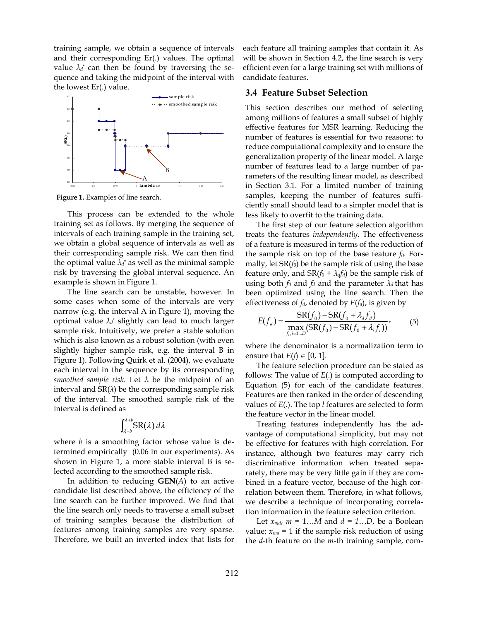training sample, we obtain a sequence of intervals and their corresponding Er(.) values. The optimal value  $\lambda_d^*$  can then be found by traversing the sequence and taking the midpoint of the interval with the lowest Er(.) value.



**Figure 1.** Examples of line search.

This process can be extended to the whole training set as follows. By merging the sequence of intervals of each training sample in the training set, we obtain a global sequence of intervals as well as their corresponding sample risk. We can then find the optimal value  $\lambda_d^*$  as well as the minimal sample risk by traversing the global interval sequence. An example is shown in Figure 1.

The line search can be unstable, however. In some cases when some of the intervals are very narrow (e.g. the interval A in Figure 1), moving the optimal value *λ<sup>d</sup>* \* slightly can lead to much larger sample risk. Intuitively, we prefer a stable solution which is also known as a robust solution (with even slightly higher sample risk, e.g. the interval B in Figure 1). Following Quirk et al. (2004), we evaluate each interval in the sequence by its corresponding *smoothed sample risk*. Let *λ* be the midpoint of an interval and  $SR(\lambda)$  be the corresponding sample risk of the interval. The smoothed sample risk of the interval is defined as

$$
\int_{\lambda-b}^{\lambda+b} \! \mathrm{SR}(\lambda) \, d\lambda
$$

where *b* is a smoothing factor whose value is determined empirically (0.06 in our experiments). As shown in Figure 1, a more stable interval B is selected according to the smoothed sample risk.

In addition to reducing **GEN**(*A*) to an active candidate list described above, the efficiency of the line search can be further improved. We find that the line search only needs to traverse a small subset of training samples because the distribution of features among training samples are very sparse. Therefore, we built an inverted index that lists for

each feature all training samples that contain it. As will be shown in Section 4.2, the line search is very efficient even for a large training set with millions of candidate features.

## **3.4 Feature Subset Selection**

This section describes our method of selecting among millions of features a small subset of highly effective features for MSR learning. Reducing the number of features is essential for two reasons: to reduce computational complexity and to ensure the generalization property of the linear model. A large number of features lead to a large number of parameters of the resulting linear model, as described in Section 3.1. For a limited number of training samples, keeping the number of features sufficiently small should lead to a simpler model that is less likely to overfit to the training data.

The first step of our feature selection algorithm treats the features *independently*. The effectiveness of a feature is measured in terms of the reduction of the sample risk on top of the base feature  $f_0$ . Formally, let SR(*f0*) be the sample risk of using the base feature only, and  $SR(f_0 + \lambda_d f_d)$  be the sample risk of using both  $f_0$  and  $f_d$  and the parameter  $\lambda_d$  that has been optimized using the line search. Then the effectiveness of *fd*, denoted by *E*(*fd*), is given by

$$
E(f_a) = \frac{SR(f_0) - SR(f_0 + \lambda_d f_a)}{\max_{f_i, i=1...D} (SR(f_0) - SR(f_0 + \lambda_i f_i))},
$$
(5)

where the denominator is a normalization term to ensure that  $E(f) \in [0, 1]$ .

The feature selection procedure can be stated as follows: The value of *E*(.) is computed according to Equation (5) for each of the candidate features. Features are then ranked in the order of descending values of *E*(.). The top *l* features are selected to form the feature vector in the linear model.

Treating features independently has the advantage of computational simplicity, but may not be effective for features with high correlation. For instance, although two features may carry rich discriminative information when treated separately, there may be very little gain if they are combined in a feature vector, because of the high correlation between them. Therefore, in what follows, we describe a technique of incorporating correlation information in the feature selection criterion.

Let  $x_{md}$ ,  $m = 1...M$  and  $d = 1...D$ , be a Boolean value:  $x_{md}$  = 1 if the sample risk reduction of using the *d-*th feature on the *m*-th training sample, com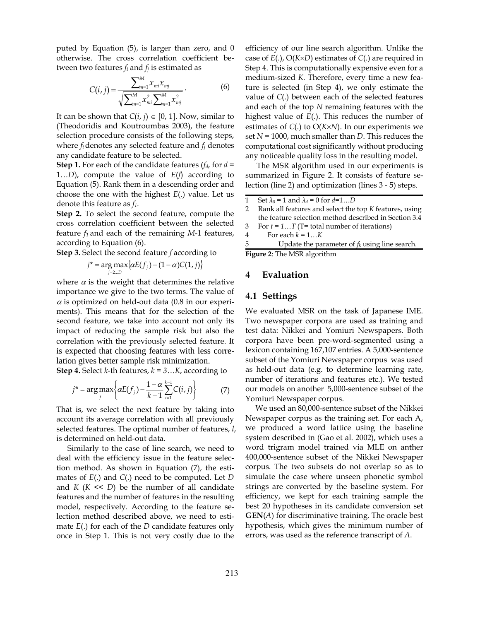puted by Equation (5), is larger than zero, and 0 otherwise. The cross correlation coefficient between two features *fi* and *fj* is estimated as

$$
C(i,j) = \frac{\sum_{m=1}^{M} x_{mi} x_{mj}}{\sqrt{\sum_{m=1}^{M} x_{mi}^2 \sum_{m=1}^{M} x_{mj}^2}}.
$$
 (6)

It can be shown that  $C(i, j) \in [0, 1]$ . Now, similar to (Theodoridis and Koutroumbas 2003), the feature selection procedure consists of the following steps, where *fi* denotes any selected feature and *fj* denotes any candidate feature to be selected.

**Step 1.** For each of the candidate features (*fd*, for *d =*  1*…D*), compute the value of *E*(*f*) according to Equation (5). Rank them in a descending order and choose the one with the highest *E*(.) value. Let us denote this feature as *f1*.

**Step 2.** To select the second feature, compute the cross correlation coefficient between the selected feature *f1* and each of the remaining *M*-1 features, according to Equation (6).

**Step 3.** Select the second feature *f* according to

$$
j^* = \arg \max_{j=2...D} \{ \alpha E(f_j) - (1-\alpha)C(1,j) \}
$$

where  $\alpha$  is the weight that determines the relative importance we give to the two terms. The value of  $\alpha$  is optimized on held-out data (0.8 in our experiments). This means that for the selection of the second feature, we take into account not only its impact of reducing the sample risk but also the correlation with the previously selected feature. It is expected that choosing features with less correlation gives better sample risk minimization.

**Step 4.** Select *k*-th features,  $k = 3...K$ , according to

$$
j^* = \arg \max_{j} \left\{ \alpha E(f_j) - \frac{1 - \alpha}{k - 1} \sum_{i=1}^{k-1} C(i, j) \right\}
$$
 (7)

That is, we select the next feature by taking into account its average correlation with all previously selected features. The optimal number of features, *l*, is determined on held-out data.

Similarly to the case of line search, we need to deal with the efficiency issue in the feature selection method. As shown in Equation (7), the estimates of *E*(.) and *C*(.) need to be computed. Let *D* and  $K$  ( $K \leq D$ ) be the number of all candidate features and the number of features in the resulting model, respectively. According to the feature selection method described above, we need to estimate *E*(.) for each of the *D* candidate features only once in Step 1. This is not very costly due to the

efficiency of our line search algorithm. Unlike the case of *E*(.), O(*K*×*D*) estimates of *C*(.) are required in Step 4. This is computationally expensive even for a medium-sized *K*. Therefore, every time a new feature is selected (in Step 4), we only estimate the value of *C*(.) between each of the selected features and each of the top *N* remaining features with the highest value of *E*(.). This reduces the number of estimates of *C*(.) to O(*K*×*N*). In our experiments we set *N* = 1000, much smaller than *D*. This reduces the computational cost significantly without producing any noticeable quality loss in the resulting model.

The MSR algorithm used in our experiments is summarized in Figure 2. It consists of feature selection (line 2) and optimization (lines 3 - 5) steps.

- 1 Set  $\lambda_0 = 1$  and  $\lambda_d = 0$  for  $d=1...D$
- 2 Rank all features and select the top *K* features, using the feature selection method described in Section 3.4 3 For *t* = *1*…*T* (T= total number of iterations)
- 
- 4 For each *k* = 1…*K*
- Update the parameter of  $f_k$  using line search. **Figure 2**: The MSR algorithm

#### **4 Evaluation**

#### **4.1 Settings**

We evaluated MSR on the task of Japanese IME. Two newspaper corpora are used as training and test data: Nikkei and Yomiuri Newspapers. Both corpora have been pre-word-segmented using a lexicon containing 167,107 entries. A 5,000-sentence subset of the Yomiuri Newspaper corpus was used as held-out data (e.g. to determine learning rate, number of iterations and features etc.). We tested our models on another 5,000-sentence subset of the Yomiuri Newspaper corpus.

We used an 80,000-sentence subset of the Nikkei Newspaper corpus as the training set. For each A, we produced a word lattice using the baseline system described in (Gao et al. 2002), which uses a word trigram model trained via MLE on anther 400,000-sentence subset of the Nikkei Newspaper corpus. The two subsets do not overlap so as to simulate the case where unseen phonetic symbol strings are converted by the baseline system. For efficiency, we kept for each training sample the best 20 hypotheses in its candidate conversion set **GEN**(*A*) for discriminative training. The oracle best hypothesis, which gives the minimum number of errors, was used as the reference transcript of *A*.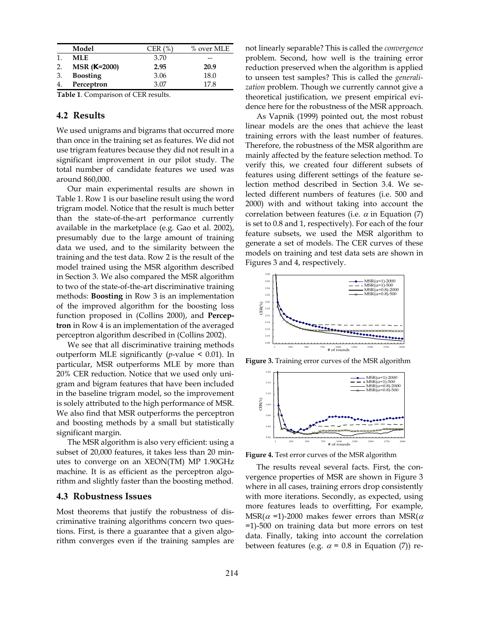| <b>MLE</b><br>3.70<br>--<br>2.95<br>20.9<br>$MSR(K=2000)$<br>2.<br><b>Boosting</b><br>18.0<br>3.06<br>3. | Model      | CER $(%)$ | % over MLE |
|----------------------------------------------------------------------------------------------------------|------------|-----------|------------|
|                                                                                                          |            |           |            |
|                                                                                                          |            |           |            |
|                                                                                                          |            |           |            |
|                                                                                                          | Perceptron | 3.07      | 17.8       |

**Table 1**. Comparison of CER results.

## **4.2 Results**

We used unigrams and bigrams that occurred more than once in the training set as features. We did not use trigram features because they did not result in a significant improvement in our pilot study. The total number of candidate features we used was around 860,000.

Our main experimental results are shown in Table 1. Row 1 is our baseline result using the word trigram model. Notice that the result is much better than the state-of-the-art performance currently available in the marketplace (e.g. Gao et al. 2002), presumably due to the large amount of training data we used, and to the similarity between the training and the test data. Row 2 is the result of the model trained using the MSR algorithm described in Section 3. We also compared the MSR algorithm to two of the state-of-the-art discriminative training methods: **Boosting** in Row 3 is an implementation of the improved algorithm for the boosting loss function proposed in (Collins 2000), and **Perceptron** in Row 4 is an implementation of the averaged perceptron algorithm described in (Collins 2002).

We see that all discriminative training methods outperform MLE significantly (*p*-value < 0.01). In particular, MSR outperforms MLE by more than 20% CER reduction. Notice that we used only unigram and bigram features that have been included in the baseline trigram model, so the improvement is solely attributed to the high performance of MSR. We also find that MSR outperforms the perceptron and boosting methods by a small but statistically significant margin.

The MSR algorithm is also very efficient: using a subset of 20,000 features, it takes less than 20 minutes to converge on an XEON(TM) MP 1.90GHz machine. It is as efficient as the perceptron algorithm and slightly faster than the boosting method.

### **4.3 Robustness Issues**

Most theorems that justify the robustness of discriminative training algorithms concern two questions. First, is there a guarantee that a given algorithm converges even if the training samples are not linearly separable? This is called the *convergence* problem. Second, how well is the training error reduction preserved when the algorithm is applied to unseen test samples? This is called the *generalization* problem. Though we currently cannot give a theoretical justification, we present empirical evidence here for the robustness of the MSR approach.

As Vapnik (1999) pointed out, the most robust linear models are the ones that achieve the least training errors with the least number of features. Therefore, the robustness of the MSR algorithm are mainly affected by the feature selection method. To verify this, we created four different subsets of features using different settings of the feature selection method described in Section 3.4. We selected different numbers of features (i.e. 500 and 2000) with and without taking into account the correlation between features (i.e.  $\alpha$  in Equation (7) is set to 0.8 and 1, respectively). For each of the four feature subsets, we used the MSR algorithm to generate a set of models. The CER curves of these models on training and test data sets are shown in Figures 3 and 4, respectively.



**Figure 3.** Training error curves of the MSR algorithm



**Figure 4.** Test error curves of the MSR algorithm

The results reveal several facts. First, the convergence properties of MSR are shown in Figure 3 where in all cases, training errors drop consistently with more iterations. Secondly, as expected, using more features leads to overfitting, For example, MSR( $\alpha$  =1)-2000 makes fewer errors than MSR( $\alpha$ =1)-500 on training data but more errors on test data. Finally, taking into account the correlation between features (e.g.  $\alpha$  = 0.8 in Equation (7)) re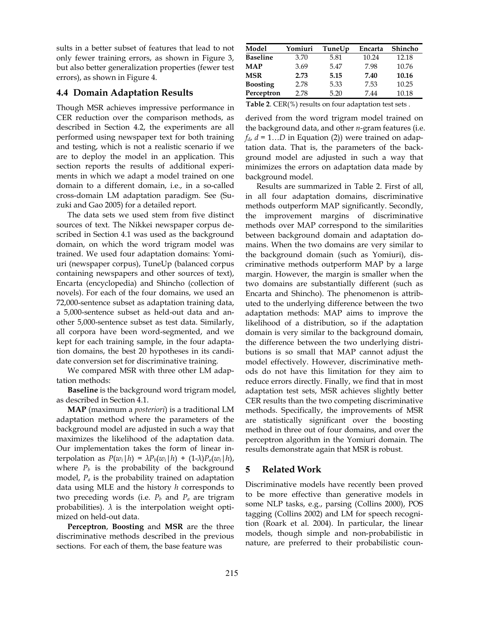sults in a better subset of features that lead to not only fewer training errors, as shown in Figure 3, but also better generalization properties (fewer test errors), as shown in Figure 4.

## **4.4 Domain Adaptation Results**

Though MSR achieves impressive performance in CER reduction over the comparison methods, as described in Section 4.2, the experiments are all performed using newspaper text for both training and testing, which is not a realistic scenario if we are to deploy the model in an application. This section reports the results of additional experiments in which we adapt a model trained on one domain to a different domain, i.e., in a so-called cross-domain LM adaptation paradigm. See (Suzuki and Gao 2005) for a detailed report.

The data sets we used stem from five distinct sources of text. The Nikkei newspaper corpus described in Section 4.1 was used as the background domain, on which the word trigram model was trained. We used four adaptation domains: Yomiuri (newspaper corpus), TuneUp (balanced corpus containing newspapers and other sources of text), Encarta (encyclopedia) and Shincho (collection of novels). For each of the four domains, we used an 72,000-sentence subset as adaptation training data, a 5,000-sentence subset as held-out data and another 5,000-sentence subset as test data. Similarly, all corpora have been word-segmented, and we kept for each training sample, in the four adaptation domains, the best 20 hypotheses in its candidate conversion set for discriminative training.

We compared MSR with three other LM adaptation methods:

**Baseline** is the background word trigram model, as described in Section 4.1.

**MAP** (maximum a *posteriori*) is a traditional LM adaptation method where the parameters of the background model are adjusted in such a way that maximizes the likelihood of the adaptation data. Our implementation takes the form of linear interpolation as  $P(w_i|h) = \lambda P_b(w_i|h) + (1-\lambda)P_a(w_i|h)$ , where  $P_b$  is the probability of the background model, *Pa* is the probability trained on adaptation data using MLE and the history *h* corresponds to two preceding words (i.e.  $P_b$  and  $P_a$  are trigram probabilities).  $\lambda$  is the interpolation weight optimized on held-out data.

**Perceptron**, **Boosting** and **MSR** are the three discriminative methods described in the previous sections. For each of them, the base feature was

| Model           | Yomiuri | TuneUp | Encarta | Shincho |
|-----------------|---------|--------|---------|---------|
| <b>Baseline</b> | 3.70    | 5.81   | 10.24   | 12.18   |
| <b>MAP</b>      | 3.69    | 5.47   | 7.98    | 10.76   |
| <b>MSR</b>      | 2.73    | 5.15   | 7.40    | 10.16   |
| <b>Boosting</b> | 2.78    | 5.33   | 7.53    | 10.25   |
| Perceptron      | 2.78    | 5.20   | 7.44    | 10.18   |

**Table 2**. CER(%) results on four adaptation test sets .

derived from the word trigram model trained on the background data, and other *n*-gram features (i.e.  $f_d$ ,  $d = 1...D$  in Equation (2)) were trained on adaptation data. That is, the parameters of the background model are adjusted in such a way that minimizes the errors on adaptation data made by background model.

Results are summarized in Table 2. First of all, in all four adaptation domains, discriminative methods outperform MAP significantly. Secondly, the improvement margins of discriminative methods over MAP correspond to the similarities between background domain and adaptation domains. When the two domains are very similar to the background domain (such as Yomiuri), discriminative methods outperform MAP by a large margin. However, the margin is smaller when the two domains are substantially different (such as Encarta and Shincho). The phenomenon is attributed to the underlying difference between the two adaptation methods: MAP aims to improve the likelihood of a distribution, so if the adaptation domain is very similar to the background domain, the difference between the two underlying distributions is so small that MAP cannot adjust the model effectively. However, discriminative methods do not have this limitation for they aim to reduce errors directly. Finally, we find that in most adaptation test sets, MSR achieves slightly better CER results than the two competing discriminative methods. Specifically, the improvements of MSR are statistically significant over the boosting method in three out of four domains, and over the perceptron algorithm in the Yomiuri domain. The results demonstrate again that MSR is robust.

# **5 Related Work**

Discriminative models have recently been proved to be more effective than generative models in some NLP tasks, e.g., parsing (Collins 2000), POS tagging (Collins 2002) and LM for speech recognition (Roark et al. 2004). In particular, the linear models, though simple and non-probabilistic in nature, are preferred to their probabilistic coun